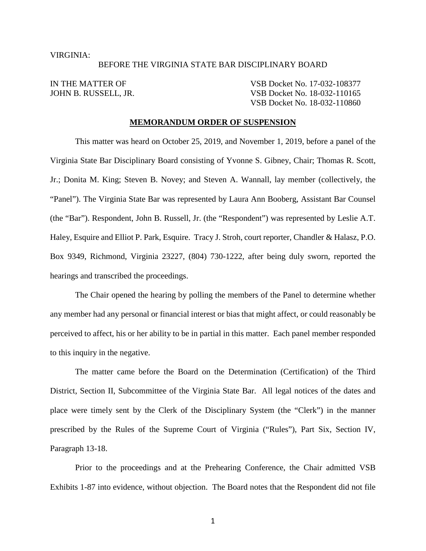#### VIRGINIA:

#### BEFORE THE VIRGINIA STATE BAR DISCIPLINARY BOARD

IN THE MATTER OF VSB Docket No. 17-032-108377 JOHN B. RUSSELL, JR. VSB Docket No. 18-032-110165 VSB Docket No. 18-032-110860

## **MEMORANDUM ORDER OF SUSPENSION**

This matter was heard on October 25, 2019, and November 1, 2019, before a panel of the Virginia State Bar Disciplinary Board consisting of Yvonne S. Gibney, Chair; Thomas R. Scott, Jr.; Donita M. King; Steven B. Novey; and Steven A. Wannall, lay member (collectively, the "Panel"). The Virginia State Bar was represented by Laura Ann Booberg, Assistant Bar Counsel (the "Bar"). Respondent, John B. Russell, Jr. (the "Respondent") was represented by Leslie A.T. Haley, Esquire and Elliot P. Park, Esquire. Tracy J. Stroh, court reporter, Chandler & Halasz, P.O. Box 9349, Richmond, Virginia 23227, (804) 730-1222, after being duly sworn, reported the hearings and transcribed the proceedings.

The Chair opened the hearing by polling the members of the Panel to determine whether any member had any personal or financial interest or bias that might affect, or could reasonably be perceived to affect, his or her ability to be in partial in this matter. Each panel member responded to this inquiry in the negative.

The matter came before the Board on the Determination (Certification) of the Third District, Section II, Subcommittee of the Virginia State Bar. All legal notices of the dates and place were timely sent by the Clerk of the Disciplinary System (the "Clerk") in the manner prescribed by the Rules of the Supreme Court of Virginia ("Rules"), Part Six, Section IV, Paragraph 13-18.

Prior to the proceedings and at the Prehearing Conference, the Chair admitted VSB Exhibits 1-87 into evidence, without objection. The Board notes that the Respondent did not file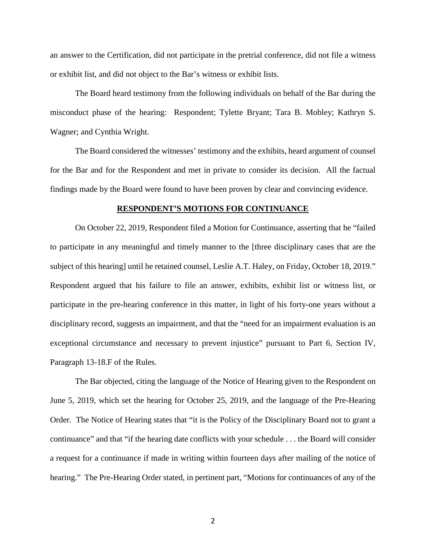an answer to the Certification, did not participate in the pretrial conference, did not file a witness or exhibit list, and did not object to the Bar's witness or exhibit lists.

The Board heard testimony from the following individuals on behalf of the Bar during the misconduct phase of the hearing: Respondent; Tylette Bryant; Tara B. Mobley; Kathryn S. Wagner; and Cynthia Wright.

The Board considered the witnesses' testimony and the exhibits, heard argument of counsel for the Bar and for the Respondent and met in private to consider its decision. All the factual findings made by the Board were found to have been proven by clear and convincing evidence.

#### **RESPONDENT'S MOTIONS FOR CONTINUANCE**

On October 22, 2019, Respondent filed a Motion for Continuance, asserting that he "failed to participate in any meaningful and timely manner to the [three disciplinary cases that are the subject of this hearing] until he retained counsel, Leslie A.T. Haley, on Friday, October 18, 2019." Respondent argued that his failure to file an answer, exhibits, exhibit list or witness list, or participate in the pre-hearing conference in this matter, in light of his forty-one years without a disciplinary record, suggests an impairment, and that the "need for an impairment evaluation is an exceptional circumstance and necessary to prevent injustice" pursuant to Part 6, Section IV, Paragraph 13-18.F of the Rules.

The Bar objected, citing the language of the Notice of Hearing given to the Respondent on June 5, 2019, which set the hearing for October 25, 2019, and the language of the Pre-Hearing Order. The Notice of Hearing states that "it is the Policy of the Disciplinary Board not to grant a continuance" and that "if the hearing date conflicts with your schedule . . . the Board will consider a request for a continuance if made in writing within fourteen days after mailing of the notice of hearing." The Pre-Hearing Order stated, in pertinent part, "Motions for continuances of any of the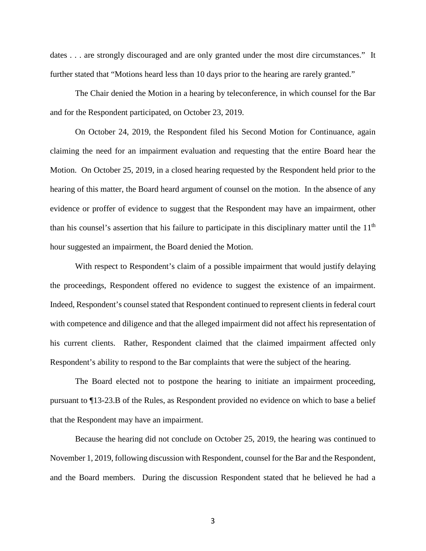dates . . . are strongly discouraged and are only granted under the most dire circumstances." It further stated that "Motions heard less than 10 days prior to the hearing are rarely granted."

The Chair denied the Motion in a hearing by teleconference, in which counsel for the Bar and for the Respondent participated, on October 23, 2019.

On October 24, 2019, the Respondent filed his Second Motion for Continuance, again claiming the need for an impairment evaluation and requesting that the entire Board hear the Motion. On October 25, 2019, in a closed hearing requested by the Respondent held prior to the hearing of this matter, the Board heard argument of counsel on the motion. In the absence of any evidence or proffer of evidence to suggest that the Respondent may have an impairment, other than his counsel's assertion that his failure to participate in this disciplinary matter until the  $11<sup>th</sup>$ hour suggested an impairment, the Board denied the Motion.

With respect to Respondent's claim of a possible impairment that would justify delaying the proceedings, Respondent offered no evidence to suggest the existence of an impairment. Indeed, Respondent's counsel stated that Respondent continued to represent clients in federal court with competence and diligence and that the alleged impairment did not affect his representation of his current clients. Rather, Respondent claimed that the claimed impairment affected only Respondent's ability to respond to the Bar complaints that were the subject of the hearing.

The Board elected not to postpone the hearing to initiate an impairment proceeding, pursuant to ¶13-23.B of the Rules, as Respondent provided no evidence on which to base a belief that the Respondent may have an impairment.

Because the hearing did not conclude on October 25, 2019, the hearing was continued to November 1, 2019, following discussion with Respondent, counsel for the Bar and the Respondent, and the Board members. During the discussion Respondent stated that he believed he had a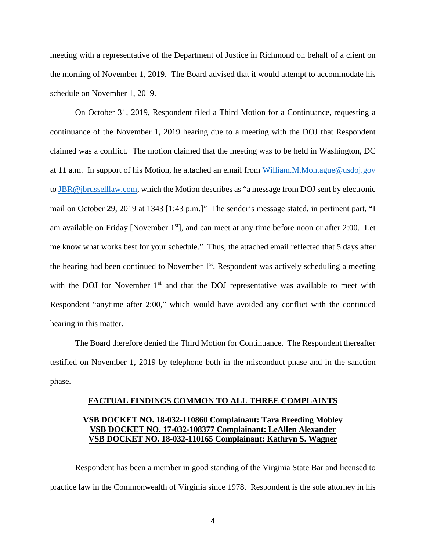meeting with a representative of the Department of Justice in Richmond on behalf of a client on the morning of November 1, 2019. The Board advised that it would attempt to accommodate his schedule on November 1, 2019.

On October 31, 2019, Respondent filed a Third Motion for a Continuance, requesting a continuance of the November 1, 2019 hearing due to a meeting with the DOJ that Respondent claimed was a conflict. The motion claimed that the meeting was to be held in Washington, DC at 11 a.m. In support of his Motion, he attached an email from [William.M.Montague@usdoj.gov](mailto:William.M.Montague@usdoj.gov) to [JBR@jbrusselllaw.com,](mailto:JBR@jbrusselllaw.com) which the Motion describes as "a message from DOJ sent by electronic mail on October 29, 2019 at 1343 [1:43 p.m.]" The sender's message stated, in pertinent part, "I am available on Friday [November  $1<sup>st</sup>$ ], and can meet at any time before noon or after 2:00. Let me know what works best for your schedule." Thus, the attached email reflected that 5 days after the hearing had been continued to November  $1<sup>st</sup>$ , Respondent was actively scheduling a meeting with the DOJ for November  $1<sup>st</sup>$  and that the DOJ representative was available to meet with Respondent "anytime after 2:00," which would have avoided any conflict with the continued hearing in this matter.

The Board therefore denied the Third Motion for Continuance. The Respondent thereafter testified on November 1, 2019 by telephone both in the misconduct phase and in the sanction phase.

#### **FACTUAL FINDINGS COMMON TO ALL THREE COMPLAINTS**

# **VSB DOCKET NO. 18-032-110860 Complainant: Tara Breeding Mobley VSB DOCKET NO. 17-032-108377 Complainant: LeAllen Alexander VSB DOCKET NO. 18-032-110165 Complainant: Kathryn S. Wagner**

Respondent has been a member in good standing of the Virginia State Bar and licensed to practice law in the Commonwealth of Virginia since 1978. Respondent is the sole attorney in his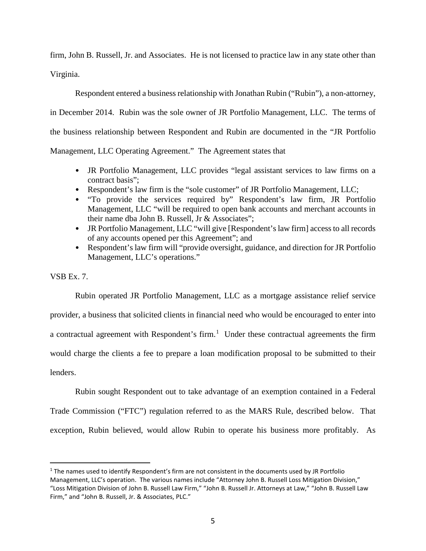firm, John B. Russell, Jr. and Associates. He is not licensed to practice law in any state other than Virginia.

Respondent entered a business relationship with Jonathan Rubin ("Rubin"), a non-attorney,

in December 2014. Rubin was the sole owner of JR Portfolio Management, LLC. The terms of

the business relationship between Respondent and Rubin are documented in the "JR Portfolio

Management, LLC Operating Agreement." The Agreement states that

- JR Portfolio Management, LLC provides "legal assistant services to law firms on a contract basis";
- Respondent's law firm is the "sole customer" of JR Portfolio Management, LLC;
- "To provide the services required by" Respondent's law firm, JR Portfolio Management, LLC "will be required to open bank accounts and merchant accounts in their name dba John B. Russell, Jr & Associates";
- JR Portfolio Management, LLC "will give [Respondent's law firm] access to all records of any accounts opened per this Agreement"; and
- Respondent's law firm will "provide oversight, guidance, and direction for JR Portfolio Management, LLC's operations."

VSB Ex. 7.

Rubin operated JR Portfolio Management, LLC as a mortgage assistance relief service

provider, a business that solicited clients in financial need who would be encouraged to enter into a contractual agreement with Respondent's firm.<sup>[1](#page-22-0)</sup> Under these contractual agreements the firm would charge the clients a fee to prepare a loan modification proposal to be submitted to their

lenders.

Rubin sought Respondent out to take advantage of an exemption contained in a Federal Trade Commission ("FTC") regulation referred to as the MARS Rule, described below. That exception, Rubin believed, would allow Rubin to operate his business more profitably. As

 $1$  The names used to identify Respondent's firm are not consistent in the documents used by JR Portfolio Management, LLC's operation. The various names include "Attorney John B. Russell Loss Mitigation Division," "Loss Mitigation Division of John B. Russell Law Firm," "John B. Russell Jr. Attorneys at Law," "John B. Russell Law Firm," and "John B. Russell, Jr. & Associates, PLC."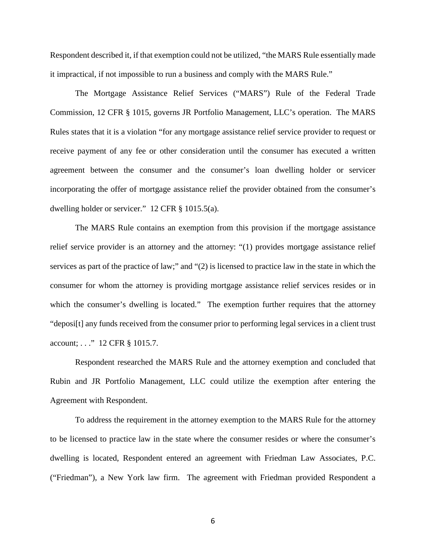Respondent described it, if that exemption could not be utilized, "the MARS Rule essentially made it impractical, if not impossible to run a business and comply with the MARS Rule."

The Mortgage Assistance Relief Services ("MARS") Rule of the Federal Trade Commission, 12 CFR § 1015, governs JR Portfolio Management, LLC's operation. The MARS Rules states that it is a violation "for any mortgage assistance relief service provider to request or receive payment of any fee or other consideration until the consumer has executed a written agreement between the consumer and the consumer's loan dwelling holder or servicer incorporating the offer of mortgage assistance relief the provider obtained from the consumer's dwelling holder or servicer." 12 CFR § 1015.5(a).

The MARS Rule contains an exemption from this provision if the mortgage assistance relief service provider is an attorney and the attorney: "(1) provides mortgage assistance relief services as part of the practice of law;" and "(2) is licensed to practice law in the state in which the consumer for whom the attorney is providing mortgage assistance relief services resides or in which the consumer's dwelling is located." The exemption further requires that the attorney "deposi[t] any funds received from the consumer prior to performing legal services in a client trust account; . . ." 12 CFR § 1015.7.

Respondent researched the MARS Rule and the attorney exemption and concluded that Rubin and JR Portfolio Management, LLC could utilize the exemption after entering the Agreement with Respondent.

To address the requirement in the attorney exemption to the MARS Rule for the attorney to be licensed to practice law in the state where the consumer resides or where the consumer's dwelling is located, Respondent entered an agreement with Friedman Law Associates, P.C. ("Friedman"), a New York law firm. The agreement with Friedman provided Respondent a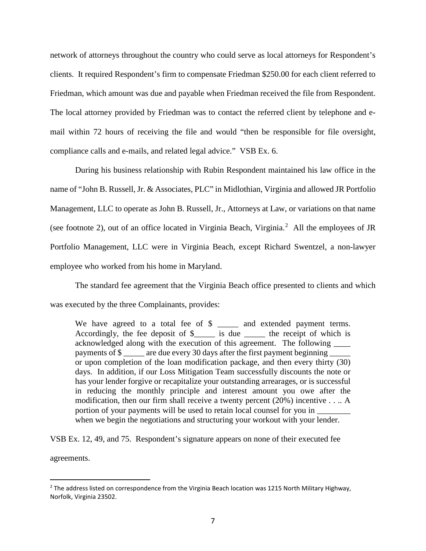network of attorneys throughout the country who could serve as local attorneys for Respondent's clients. It required Respondent's firm to compensate Friedman \$250.00 for each client referred to Friedman, which amount was due and payable when Friedman received the file from Respondent. The local attorney provided by Friedman was to contact the referred client by telephone and email within 72 hours of receiving the file and would "then be responsible for file oversight, compliance calls and e-mails, and related legal advice." VSB Ex. 6.

During his business relationship with Rubin Respondent maintained his law office in the name of "John B. Russell, Jr. & Associates, PLC" in Midlothian, Virginia and allowed JR Portfolio Management, LLC to operate as John B. Russell, Jr., Attorneys at Law, or variations on that name (see footnote 2), out of an office located in Virginia Beach, Virginia. [2](#page-6-0) All the employees of JR Portfolio Management, LLC were in Virginia Beach, except Richard Swentzel, a non-lawyer employee who worked from his home in Maryland.

The standard fee agreement that the Virginia Beach office presented to clients and which was executed by the three Complainants, provides:

We have agreed to a total fee of \$ \_\_\_\_\_ and extended payment terms. Accordingly, the fee deposit of \$\_\_\_\_\_\_ is due \_\_\_\_\_\_\_ the receipt of which is acknowledged along with the execution of this agreement. The following \_\_\_\_ payments of \$ \_\_\_\_\_ are due every 30 days after the first payment beginning or upon completion of the loan modification package, and then every thirty (30) days. In addition, if our Loss Mitigation Team successfully discounts the note or has your lender forgive or recapitalize your outstanding arrearages, or is successful in reducing the monthly principle and interest amount you owe after the modification, then our firm shall receive a twenty percent (20%) incentive . . .. A portion of your payments will be used to retain local counsel for you in when we begin the negotiations and structuring your workout with your lender.

VSB Ex. 12, 49, and 75. Respondent's signature appears on none of their executed fee agreements.

<span id="page-6-0"></span><sup>&</sup>lt;sup>2</sup> The address listed on correspondence from the Virginia Beach location was 1215 North Military Highway, Norfolk, Virginia 23502.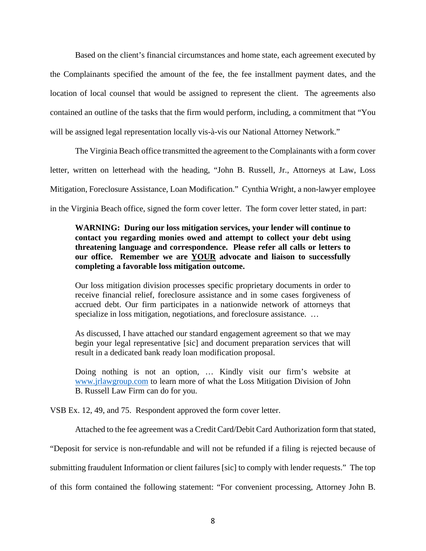Based on the client's financial circumstances and home state, each agreement executed by the Complainants specified the amount of the fee, the fee installment payment dates, and the location of local counsel that would be assigned to represent the client. The agreements also contained an outline of the tasks that the firm would perform, including, a commitment that "You will be assigned legal representation locally vis-à-vis our National Attorney Network."

The Virginia Beach office transmitted the agreement to the Complainants with a form cover letter, written on letterhead with the heading, "John B. Russell, Jr., Attorneys at Law, Loss Mitigation, Foreclosure Assistance, Loan Modification." Cynthia Wright, a non-lawyer employee in the Virginia Beach office, signed the form cover letter. The form cover letter stated, in part:

# **WARNING: During our loss mitigation services, your lender will continue to contact you regarding monies owed and attempt to collect your debt using threatening language and correspondence. Please refer all calls or letters to our office. Remember we are YOUR advocate and liaison to successfully completing a favorable loss mitigation outcome.**

Our loss mitigation division processes specific proprietary documents in order to receive financial relief, foreclosure assistance and in some cases forgiveness of accrued debt. Our firm participates in a nationwide network of attorneys that specialize in loss mitigation, negotiations, and foreclosure assistance. ...

As discussed, I have attached our standard engagement agreement so that we may begin your legal representative [sic] and document preparation services that will result in a dedicated bank ready loan modification proposal.

Doing nothing is not an option, … Kindly visit our firm's website at [www.jrlawgroup.com](http://www.jrlawgroup.com/) to learn more of what the Loss Mitigation Division of John B. Russell Law Firm can do for you.

VSB Ex. 12, 49, and 75. Respondent approved the form cover letter.

Attached to the fee agreement was a Credit Card/Debit Card Authorization form that stated,

"Deposit for service is non-refundable and will not be refunded if a filing is rejected because of

submitting fraudulent Information or client failures [sic] to comply with lender requests." The top

of this form contained the following statement: "For convenient processing, Attorney John B.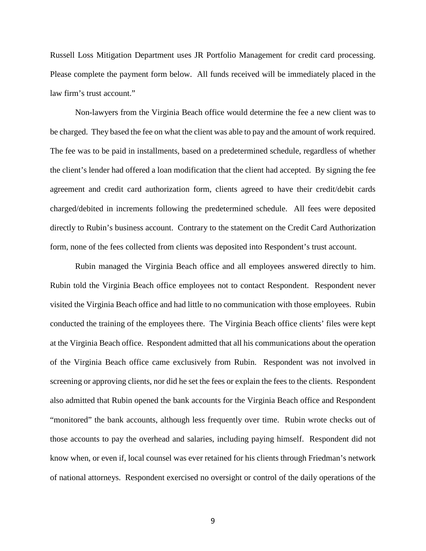Russell Loss Mitigation Department uses JR Portfolio Management for credit card processing. Please complete the payment form below. All funds received will be immediately placed in the law firm's trust account."

Non-lawyers from the Virginia Beach office would determine the fee a new client was to be charged. They based the fee on what the client was able to pay and the amount of work required. The fee was to be paid in installments, based on a predetermined schedule, regardless of whether the client's lender had offered a loan modification that the client had accepted. By signing the fee agreement and credit card authorization form, clients agreed to have their credit/debit cards charged/debited in increments following the predetermined schedule. All fees were deposited directly to Rubin's business account. Contrary to the statement on the Credit Card Authorization form, none of the fees collected from clients was deposited into Respondent's trust account.

Rubin managed the Virginia Beach office and all employees answered directly to him. Rubin told the Virginia Beach office employees not to contact Respondent. Respondent never visited the Virginia Beach office and had little to no communication with those employees. Rubin conducted the training of the employees there. The Virginia Beach office clients' files were kept at the Virginia Beach office. Respondent admitted that all his communications about the operation of the Virginia Beach office came exclusively from Rubin. Respondent was not involved in screening or approving clients, nor did he set the fees or explain the fees to the clients. Respondent also admitted that Rubin opened the bank accounts for the Virginia Beach office and Respondent "monitored" the bank accounts, although less frequently over time. Rubin wrote checks out of those accounts to pay the overhead and salaries, including paying himself. Respondent did not know when, or even if, local counsel was ever retained for his clients through Friedman's network of national attorneys. Respondent exercised no oversight or control of the daily operations of the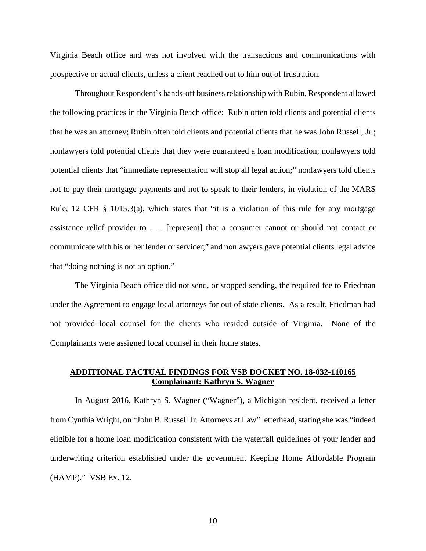Virginia Beach office and was not involved with the transactions and communications with prospective or actual clients, unless a client reached out to him out of frustration.

Throughout Respondent's hands-off business relationship with Rubin, Respondent allowed the following practices in the Virginia Beach office: Rubin often told clients and potential clients that he was an attorney; Rubin often told clients and potential clients that he was John Russell, Jr.; nonlawyers told potential clients that they were guaranteed a loan modification; nonlawyers told potential clients that "immediate representation will stop all legal action;" nonlawyers told clients not to pay their mortgage payments and not to speak to their lenders, in violation of the MARS Rule, 12 CFR § 1015.3(a), which states that "it is a violation of this rule for any mortgage assistance relief provider to . . . [represent] that a consumer cannot or should not contact or communicate with his or her lender or servicer;" and nonlawyers gave potential clients legal advice that "doing nothing is not an option."

The Virginia Beach office did not send, or stopped sending, the required fee to Friedman under the Agreement to engage local attorneys for out of state clients. As a result, Friedman had not provided local counsel for the clients who resided outside of Virginia. None of the Complainants were assigned local counsel in their home states.

# **ADDITIONAL FACTUAL FINDINGS FOR VSB DOCKET NO. 18-032-110165 Complainant: Kathryn S. Wagner**

In August 2016, Kathryn S. Wagner ("Wagner"), a Michigan resident, received a letter from Cynthia Wright, on "John B. Russell Jr. Attorneys at Law" letterhead, stating she was "indeed eligible for a home loan modification consistent with the waterfall guidelines of your lender and underwriting criterion established under the government Keeping Home Affordable Program (HAMP)." VSB Ex. 12.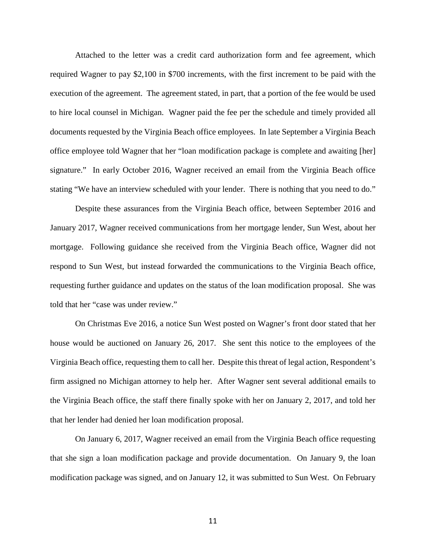Attached to the letter was a credit card authorization form and fee agreement, which required Wagner to pay \$2,100 in \$700 increments, with the first increment to be paid with the execution of the agreement. The agreement stated, in part, that a portion of the fee would be used to hire local counsel in Michigan. Wagner paid the fee per the schedule and timely provided all documents requested by the Virginia Beach office employees. In late September a Virginia Beach office employee told Wagner that her "loan modification package is complete and awaiting [her] signature." In early October 2016, Wagner received an email from the Virginia Beach office stating "We have an interview scheduled with your lender. There is nothing that you need to do."

Despite these assurances from the Virginia Beach office, between September 2016 and January 2017, Wagner received communications from her mortgage lender, Sun West, about her mortgage. Following guidance she received from the Virginia Beach office, Wagner did not respond to Sun West, but instead forwarded the communications to the Virginia Beach office, requesting further guidance and updates on the status of the loan modification proposal. She was told that her "case was under review."

On Christmas Eve 2016, a notice Sun West posted on Wagner's front door stated that her house would be auctioned on January 26, 2017. She sent this notice to the employees of the Virginia Beach office, requesting them to call her. Despite this threat of legal action, Respondent's firm assigned no Michigan attorney to help her. After Wagner sent several additional emails to the Virginia Beach office, the staff there finally spoke with her on January 2, 2017, and told her that her lender had denied her loan modification proposal.

On January 6, 2017, Wagner received an email from the Virginia Beach office requesting that she sign a loan modification package and provide documentation. On January 9, the loan modification package was signed, and on January 12, it was submitted to Sun West. On February

11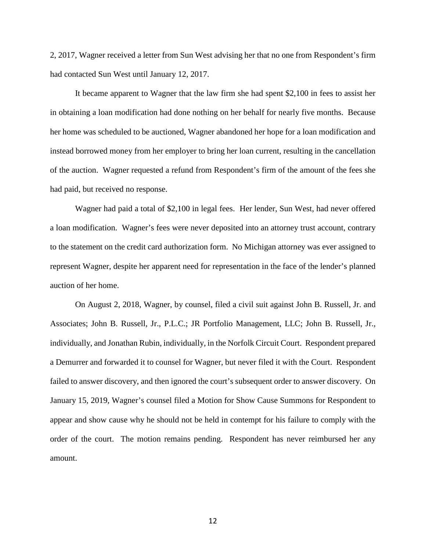2, 2017, Wagner received a letter from Sun West advising her that no one from Respondent's firm had contacted Sun West until January 12, 2017.

It became apparent to Wagner that the law firm she had spent \$2,100 in fees to assist her in obtaining a loan modification had done nothing on her behalf for nearly five months. Because her home was scheduled to be auctioned, Wagner abandoned her hope for a loan modification and instead borrowed money from her employer to bring her loan current, resulting in the cancellation of the auction. Wagner requested a refund from Respondent's firm of the amount of the fees she had paid, but received no response.

Wagner had paid a total of \$2,100 in legal fees. Her lender, Sun West, had never offered a loan modification. Wagner's fees were never deposited into an attorney trust account, contrary to the statement on the credit card authorization form. No Michigan attorney was ever assigned to represent Wagner, despite her apparent need for representation in the face of the lender's planned auction of her home.

On August 2, 2018, Wagner, by counsel, filed a civil suit against John B. Russell, Jr. and Associates; John B. Russell, Jr., P.L.C.; JR Portfolio Management, LLC; John B. Russell, Jr., individually, and Jonathan Rubin, individually, in the Norfolk Circuit Court. Respondent prepared a Demurrer and forwarded it to counsel for Wagner, but never filed it with the Court. Respondent failed to answer discovery, and then ignored the court's subsequent order to answer discovery. On January 15, 2019, Wagner's counsel filed a Motion for Show Cause Summons for Respondent to appear and show cause why he should not be held in contempt for his failure to comply with the order of the court. The motion remains pending. Respondent has never reimbursed her any amount.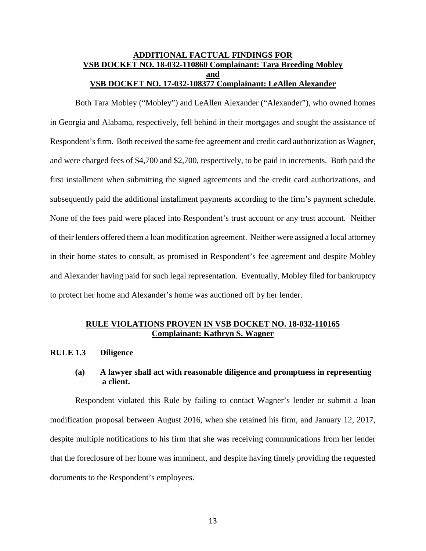## **ADDITIONAL FACTUAL FINDINGS FOR VSB DOCKET NO. 18-032-110860 Complainant: Tara Breeding Mobley and VSB DOCKET NO. 17-032-108377 Complainant: LeAllen Alexander**

Both Tara Mobley ("Mobley") and LeAllen Alexander ("Alexander"), who owned homes in Georgia and Alabama, respectively, fell behind in their mortgages and sought the assistance of Respondent's firm. Both received the same fee agreement and credit card authorization as Wagner, and were charged fees of \$4,700 and \$2,700, respectively, to be paid in increments. Both paid the first installment when submitting the signed agreements and the credit card authorizations, and subsequently paid the additional installment payments according to the firm's payment schedule. None of the fees paid were placed into Respondent's trust account or any trust account. Neither of their lenders offered them a loan modification agreement. Neither were assigned a local attorney in their home states to consult, as promised in Respondent's fee agreement and despite Mobley and Alexander having paid for such legal representation. Eventually, Mobley filed for bankruptcy to protect her home and Alexander's home was auctioned off by her lender.

## **RULE VIOLATIONS PROVEN IN VSB DOCKET NO. 18-032-110165 Complainant: Kathryn S. Wagner**

## **RULE 1.3 Diligence**

## **(a) A lawyer shall act with reasonable diligence and promptness in representing a client.**

Respondent violated this Rule by failing to contact Wagner's lender or submit a loan modification proposal between August 2016, when she retained his firm, and January 12, 2017, despite multiple notifications to his firm that she was receiving communications from her lender that the foreclosure of her home was imminent, and despite having timely providing the requested documents to the Respondent's employees.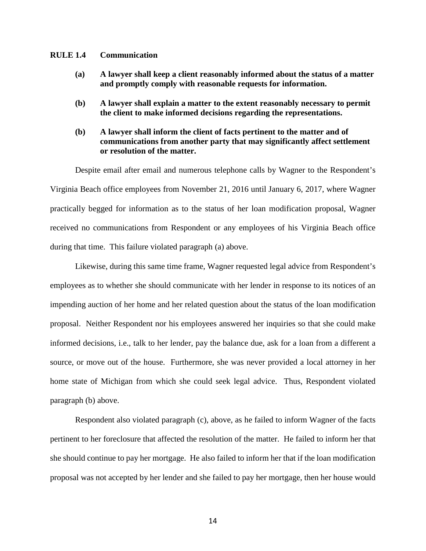#### **RULE 1.4 Communication**

- **(a) A lawyer shall keep a client reasonably informed about the status of a matter and promptly comply with reasonable requests for information.**
- **(b) A lawyer shall explain a matter to the extent reasonably necessary to permit the client to make informed decisions regarding the representations.**
- **(b) A lawyer shall inform the client of facts pertinent to the matter and of communications from another party that may significantly affect settlement or resolution of the matter.**

Despite email after email and numerous telephone calls by Wagner to the Respondent's Virginia Beach office employees from November 21, 2016 until January 6, 2017, where Wagner practically begged for information as to the status of her loan modification proposal, Wagner received no communications from Respondent or any employees of his Virginia Beach office during that time. This failure violated paragraph (a) above.

Likewise, during this same time frame, Wagner requested legal advice from Respondent's employees as to whether she should communicate with her lender in response to its notices of an impending auction of her home and her related question about the status of the loan modification proposal. Neither Respondent nor his employees answered her inquiries so that she could make informed decisions, i.e., talk to her lender, pay the balance due, ask for a loan from a different a source, or move out of the house. Furthermore, she was never provided a local attorney in her home state of Michigan from which she could seek legal advice. Thus, Respondent violated paragraph (b) above.

Respondent also violated paragraph (c), above, as he failed to inform Wagner of the facts pertinent to her foreclosure that affected the resolution of the matter. He failed to inform her that she should continue to pay her mortgage. He also failed to inform her that if the loan modification proposal was not accepted by her lender and she failed to pay her mortgage, then her house would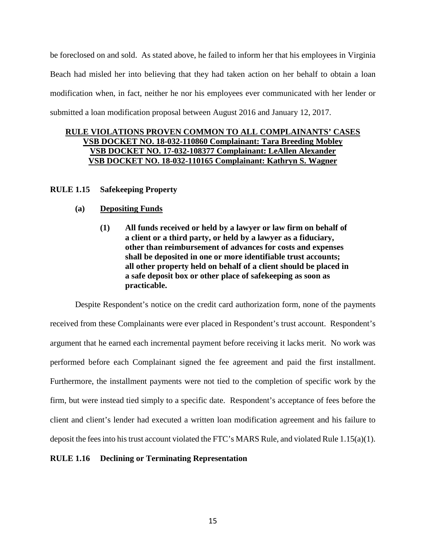be foreclosed on and sold. As stated above, he failed to inform her that his employees in Virginia Beach had misled her into believing that they had taken action on her behalf to obtain a loan modification when, in fact, neither he nor his employees ever communicated with her lender or submitted a loan modification proposal between August 2016 and January 12, 2017.

# **RULE VIOLATIONS PROVEN COMMON TO ALL COMPLAINANTS' CASES VSB DOCKET NO. 18-032-110860 Complainant: Tara Breeding Mobley VSB DOCKET NO. 17-032-108377 Complainant: LeAllen Alexander VSB DOCKET NO. 18-032-110165 Complainant: Kathryn S. Wagner**

## **RULE 1.15 Safekeeping Property**

## **(a) Depositing Funds**

**(1) All funds received or held by a lawyer or law firm on behalf of a client or a third party, or held by a lawyer as a fiduciary, other than reimbursement of advances for costs and expenses shall be deposited in one or more identifiable trust accounts; all other property held on behalf of a client should be placed in a safe deposit box or other place of safekeeping as soon as practicable.**

Despite Respondent's notice on the credit card authorization form, none of the payments received from these Complainants were ever placed in Respondent's trust account. Respondent's argument that he earned each incremental payment before receiving it lacks merit. No work was performed before each Complainant signed the fee agreement and paid the first installment. Furthermore, the installment payments were not tied to the completion of specific work by the firm, but were instead tied simply to a specific date. Respondent's acceptance of fees before the client and client's lender had executed a written loan modification agreement and his failure to deposit the fees into his trust account violated the FTC's MARS Rule, and violated Rule 1.15(a)(1).

## **RULE 1.16 Declining or Terminating Representation**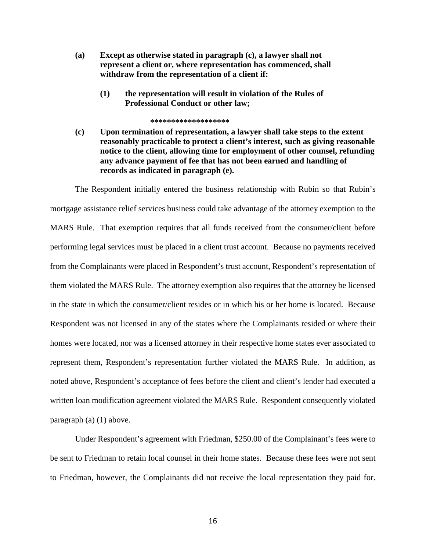- **(a) Except as otherwise stated in paragraph (c), a lawyer shall not represent a client or, where representation has commenced, shall withdraw from the representation of a client if:**
	- **(1) the representation will result in violation of the Rules of Professional Conduct or other law;**

#### **\*\*\*\*\*\*\*\*\*\*\*\*\*\*\*\*\*\*\***

**(c) Upon termination of representation, a lawyer shall take steps to the extent reasonably practicable to protect a client's interest, such as giving reasonable notice to the client, allowing time for employment of other counsel, refunding any advance payment of fee that has not been earned and handling of records as indicated in paragraph (e).**

The Respondent initially entered the business relationship with Rubin so that Rubin's mortgage assistance relief services business could take advantage of the attorney exemption to the MARS Rule. That exemption requires that all funds received from the consumer/client before performing legal services must be placed in a client trust account. Because no payments received from the Complainants were placed in Respondent's trust account, Respondent's representation of them violated the MARS Rule. The attorney exemption also requires that the attorney be licensed in the state in which the consumer/client resides or in which his or her home is located. Because Respondent was not licensed in any of the states where the Complainants resided or where their homes were located, nor was a licensed attorney in their respective home states ever associated to represent them, Respondent's representation further violated the MARS Rule. In addition, as noted above, Respondent's acceptance of fees before the client and client's lender had executed a written loan modification agreement violated the MARS Rule. Respondent consequently violated paragraph (a) (1) above.

Under Respondent's agreement with Friedman, \$250.00 of the Complainant's fees were to be sent to Friedman to retain local counsel in their home states. Because these fees were not sent to Friedman, however, the Complainants did not receive the local representation they paid for.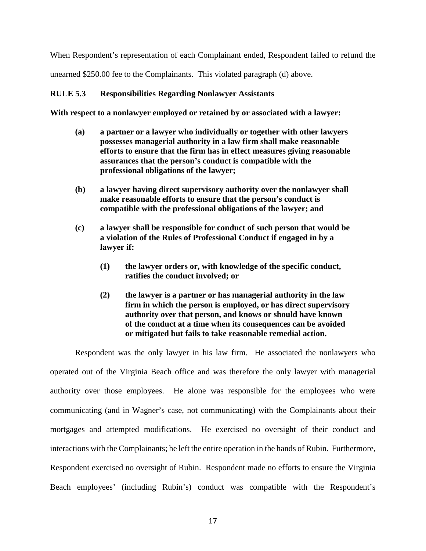When Respondent's representation of each Complainant ended, Respondent failed to refund the unearned \$250.00 fee to the Complainants. This violated paragraph (d) above.

#### **RULE 5.3 Responsibilities Regarding Nonlawyer Assistants**

**With respect to a nonlawyer employed or retained by or associated with a lawyer:**

- **(a) a partner or a lawyer who individually or together with other lawyers possesses managerial authority in a law firm shall make reasonable efforts to ensure that the firm has in effect measures giving reasonable assurances that the person's conduct is compatible with the professional obligations of the lawyer;**
- **(b) a lawyer having direct supervisory authority over the nonlawyer shall make reasonable efforts to ensure that the person's conduct is compatible with the professional obligations of the lawyer; and**
- **(c) a lawyer shall be responsible for conduct of such person that would be a violation of the Rules of Professional Conduct if engaged in by a lawyer if:**
	- **(1) the lawyer orders or, with knowledge of the specific conduct, ratifies the conduct involved; or**
	- **(2) the lawyer is a partner or has managerial authority in the law firm in which the person is employed, or has direct supervisory authority over that person, and knows or should have known of the conduct at a time when its consequences can be avoided or mitigated but fails to take reasonable remedial action.**

Respondent was the only lawyer in his law firm. He associated the nonlawyers who operated out of the Virginia Beach office and was therefore the only lawyer with managerial authority over those employees. He alone was responsible for the employees who were communicating (and in Wagner's case, not communicating) with the Complainants about their mortgages and attempted modifications. He exercised no oversight of their conduct and interactions with the Complainants; he left the entire operation in the hands of Rubin. Furthermore, Respondent exercised no oversight of Rubin. Respondent made no efforts to ensure the Virginia Beach employees' (including Rubin's) conduct was compatible with the Respondent's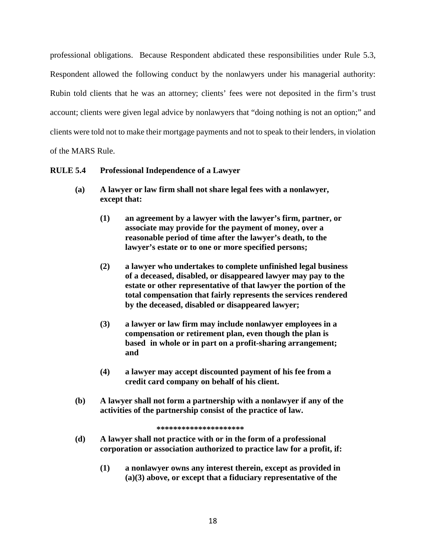professional obligations. Because Respondent abdicated these responsibilities under Rule 5.3, Respondent allowed the following conduct by the nonlawyers under his managerial authority: Rubin told clients that he was an attorney; clients' fees were not deposited in the firm's trust account; clients were given legal advice by nonlawyers that "doing nothing is not an option;" and clients were told not to make their mortgage payments and not to speak to their lenders, in violation

of the MARS Rule.

# **RULE 5.4 Professional Independence of a Lawyer**

- **(a) A lawyer or law firm shall not share legal fees with a nonlawyer, except that:**
	- **(1) an agreement by a lawyer with the lawyer's firm, partner, or associate may provide for the payment of money, over a reasonable period of time after the lawyer's death, to the lawyer's estate or to one or more specified persons;**
	- **(2) a lawyer who undertakes to complete unfinished legal business of a deceased, disabled, or disappeared lawyer may pay to the estate or other representative of that lawyer the portion of the total compensation that fairly represents the services rendered by the deceased, disabled or disappeared lawyer;**
	- **(3) a lawyer or law firm may include nonlawyer employees in a compensation or retirement plan, even though the plan is based in whole or in part on a profit-sharing arrangement; and**
	- **(4) a lawyer may accept discounted payment of his fee from a credit card company on behalf of his client.**
- **(b) A lawyer shall not form a partnership with a nonlawyer if any of the activities of the partnership consist of the practice of law.**

```
*********************
```
- **(d) A lawyer shall not practice with or in the form of a professional corporation or association authorized to practice law for a profit, if:**
	- **(1) a nonlawyer owns any interest therein, except as provided in (a)(3) above, or except that a fiduciary representative of the**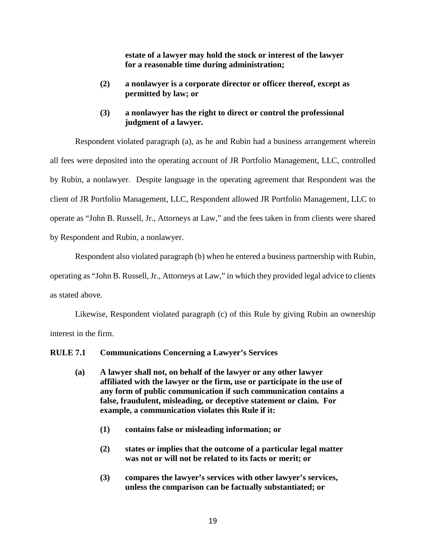**estate of a lawyer may hold the stock or interest of the lawyer for a reasonable time during administration;**

- **(2) a nonlawyer is a corporate director or officer thereof, except as permitted by law; or**
- **(3) a nonlawyer has the right to direct or control the professional judgment of a lawyer.**

Respondent violated paragraph (a), as he and Rubin had a business arrangement wherein all fees were deposited into the operating account of JR Portfolio Management, LLC, controlled by Rubin, a nonlawyer. Despite language in the operating agreement that Respondent was the client of JR Portfolio Management, LLC, Respondent allowed JR Portfolio Management, LLC to operate as "John B. Russell, Jr., Attorneys at Law," and the fees taken in from clients were shared by Respondent and Rubin, a nonlawyer.

Respondent also violated paragraph (b) when he entered a business partnership with Rubin,

operating as "John B. Russell, Jr., Attorneys at Law," in which they provided legal advice to clients as stated above.

Likewise, Respondent violated paragraph (c) of this Rule by giving Rubin an ownership interest in the firm.

**RULE 7.1 Communications Concerning a Lawyer's Services**

- **(a) A lawyer shall not, on behalf of the lawyer or any other lawyer affiliated with the lawyer or the firm, use or participate in the use of any form of public communication if such communication contains a false, fraudulent, misleading, or deceptive statement or claim. For example, a communication violates this Rule if it:**
	- **(1) contains false or misleading information; or**
	- **(2) states or implies that the outcome of a particular legal matter was not or will not be related to its facts or merit; or**
	- **(3) compares the lawyer's services with other lawyer's services, unless the comparison can be factually substantiated; or**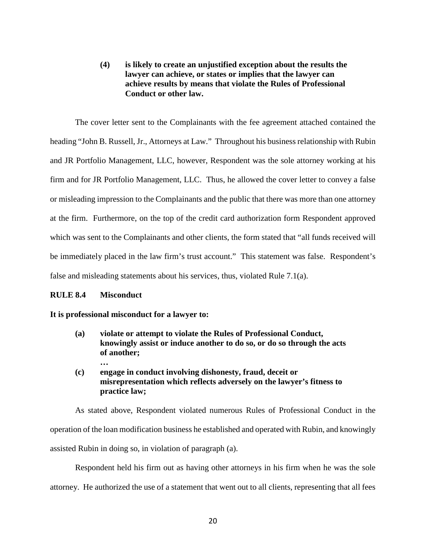**(4) is likely to create an unjustified exception about the results the lawyer can achieve, or states or implies that the lawyer can achieve results by means that violate the Rules of Professional Conduct or other law.**

The cover letter sent to the Complainants with the fee agreement attached contained the heading "John B. Russell, Jr., Attorneys at Law." Throughout his business relationship with Rubin and JR Portfolio Management, LLC, however, Respondent was the sole attorney working at his firm and for JR Portfolio Management, LLC. Thus, he allowed the cover letter to convey a false or misleading impression to the Complainants and the public that there was more than one attorney at the firm. Furthermore, on the top of the credit card authorization form Respondent approved which was sent to the Complainants and other clients, the form stated that "all funds received will be immediately placed in the law firm's trust account." This statement was false. Respondent's false and misleading statements about his services, thus, violated Rule 7.1(a).

## **RULE 8.4 Misconduct**

#### **It is professional misconduct for a lawyer to:**

- **(a) violate or attempt to violate the Rules of Professional Conduct, knowingly assist or induce another to do so, or do so through the acts of another; …**
- **(c) engage in conduct involving dishonesty, fraud, deceit or misrepresentation which reflects adversely on the lawyer's fitness to practice law;**

As stated above, Respondent violated numerous Rules of Professional Conduct in the operation of the loan modification business he established and operated with Rubin, and knowingly assisted Rubin in doing so, in violation of paragraph (a).

Respondent held his firm out as having other attorneys in his firm when he was the sole attorney. He authorized the use of a statement that went out to all clients, representing that all fees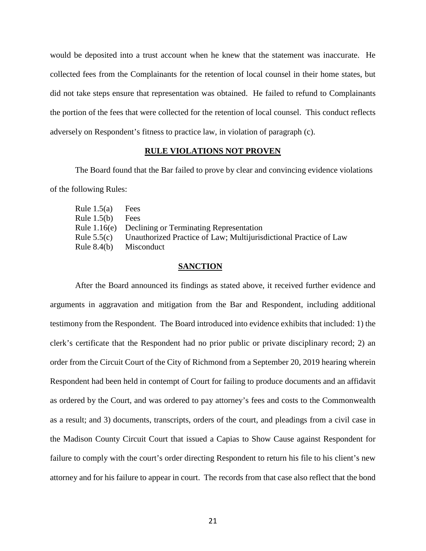would be deposited into a trust account when he knew that the statement was inaccurate. He collected fees from the Complainants for the retention of local counsel in their home states, but did not take steps ensure that representation was obtained. He failed to refund to Complainants the portion of the fees that were collected for the retention of local counsel. This conduct reflects adversely on Respondent's fitness to practice law, in violation of paragraph (c).

#### **RULE VIOLATIONS NOT PROVEN**

The Board found that the Bar failed to prove by clear and convincing evidence violations of the following Rules:

| Fees                                                              |
|-------------------------------------------------------------------|
| Fees                                                              |
| Rule 1.16(e) Declining or Terminating Representation              |
| Unauthorized Practice of Law; Multijurisdictional Practice of Law |
| Misconduct                                                        |
|                                                                   |

#### **SANCTION**

After the Board announced its findings as stated above, it received further evidence and arguments in aggravation and mitigation from the Bar and Respondent, including additional testimony from the Respondent. The Board introduced into evidence exhibits that included: 1) the clerk's certificate that the Respondent had no prior public or private disciplinary record; 2) an order from the Circuit Court of the City of Richmond from a September 20, 2019 hearing wherein Respondent had been held in contempt of Court for failing to produce documents and an affidavit as ordered by the Court, and was ordered to pay attorney's fees and costs to the Commonwealth as a result; and 3) documents, transcripts, orders of the court, and pleadings from a civil case in the Madison County Circuit Court that issued a Capias to Show Cause against Respondent for failure to comply with the court's order directing Respondent to return his file to his client's new attorney and for his failure to appear in court. The records from that case also reflect that the bond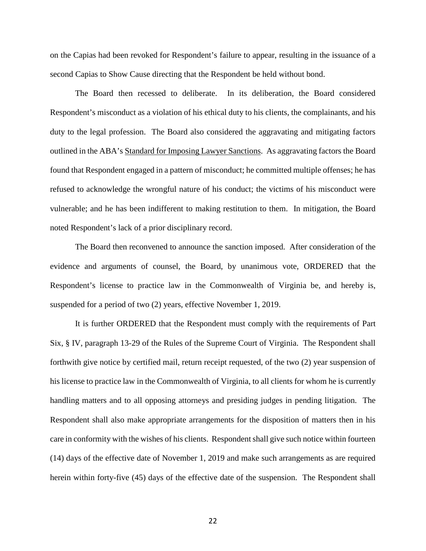on the Capias had been revoked for Respondent's failure to appear, resulting in the issuance of a second Capias to Show Cause directing that the Respondent be held without bond.

The Board then recessed to deliberate. In its deliberation, the Board considered Respondent's misconduct as a violation of his ethical duty to his clients, the complainants, and his duty to the legal profession. The Board also considered the aggravating and mitigating factors outlined in the ABA's Standard for Imposing Lawyer Sanctions. As aggravating factors the Board found that Respondent engaged in a pattern of misconduct; he committed multiple offenses; he has refused to acknowledge the wrongful nature of his conduct; the victims of his misconduct were vulnerable; and he has been indifferent to making restitution to them. In mitigation, the Board noted Respondent's lack of a prior disciplinary record.

The Board then reconvened to announce the sanction imposed. After consideration of the evidence and arguments of counsel, the Board, by unanimous vote, ORDERED that the Respondent's license to practice law in the Commonwealth of Virginia be, and hereby is, suspended for a period of two (2) years, effective November 1, 2019.

It is further ORDERED that the Respondent must comply with the requirements of Part Six, § IV, paragraph 13-29 of the Rules of the Supreme Court of Virginia. The Respondent shall forthwith give notice by certified mail, return receipt requested, of the two (2) year suspension of his license to practice law in the Commonwealth of Virginia, to all clients for whom he is currently handling matters and to all opposing attorneys and presiding judges in pending litigation. The Respondent shall also make appropriate arrangements for the disposition of matters then in his care in conformity with the wishes of his clients. Respondent shall give such notice within fourteen (14) days of the effective date of November 1, 2019 and make such arrangements as are required herein within forty-five (45) days of the effective date of the suspension. The Respondent shall